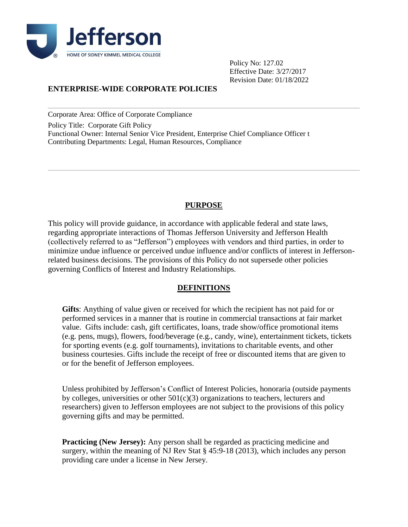

Policy No: 127.02 Effective Date: 3/27/2017 Revision Date: 01/18/2022

# **ENTERPRISE-WIDE CORPORATE POLICIES**

Corporate Area: Office of Corporate Compliance

Policy Title: Corporate Gift Policy Functional Owner: Internal Senior Vice President, Enterprise Chief Compliance Officer t Contributing Departments: Legal, Human Resources, Compliance

# **PURPOSE**

This policy will provide guidance, in accordance with applicable federal and state laws, regarding appropriate interactions of Thomas Jefferson University and Jefferson Health (collectively referred to as "Jefferson") employees with vendors and third parties, in order to minimize undue influence or perceived undue influence and/or conflicts of interest in Jeffersonrelated business decisions. The provisions of this Policy do not supersede other policies governing Conflicts of Interest and Industry Relationships.

## **DEFINITIONS**

**Gifts**: Anything of value given or received for which the recipient has not paid for or performed services in a manner that is routine in commercial transactions at fair market value. Gifts include: cash, gift certificates, loans, trade show/office promotional items (e.g. pens, mugs), flowers, food/beverage (e.g., candy, wine), entertainment tickets, tickets for sporting events (e.g. golf tournaments), invitations to charitable events, and other business courtesies. Gifts include the receipt of free or discounted items that are given to or for the benefit of Jefferson employees.

Unless prohibited by Jefferson's Conflict of Interest Policies, honoraria (outside payments by colleges, universities or other  $501(c)(3)$  organizations to teachers, lecturers and researchers) given to Jefferson employees are not subject to the provisions of this policy governing gifts and may be permitted.

**Practicing (New Jersey):** Any person shall be regarded as practicing medicine and surgery, within the meaning of NJ Rev Stat § 45:9-18 (2013), which includes any person providing care under a license in New Jersey.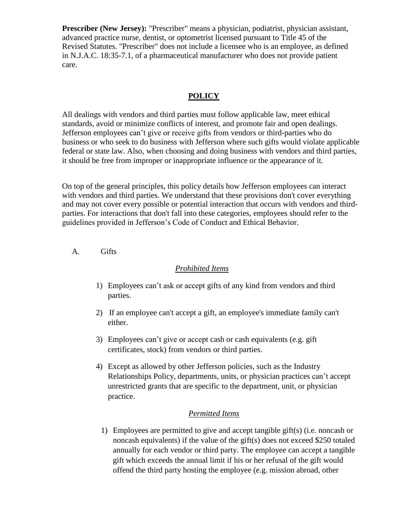**Prescriber (New Jersey):** "Prescriber" means a physician, podiatrist, physician assistant, advanced practice nurse, dentist, or optometrist licensed pursuant to Title 45 of the Revised Statutes. "Prescriber" does not include a licensee who is an employee, as defined in N.J.A.C. 18:35-7.1, of a pharmaceutical manufacturer who does not provide patient care.

## **POLICY**

All dealings with vendors and third parties must follow applicable law, meet ethical standards, avoid or minimize conflicts of interest, and promote fair and open dealings. Jefferson employees can't give or receive gifts from vendors or third-parties who do business or who seek to do business with Jefferson where such gifts would violate applicable federal or state law. Also, when choosing and doing business with vendors and third parties, it should be free from improper or inappropriate influence or the appearance of it.

On top of the general principles, this policy details how Jefferson employees can interact with vendors and third parties. We understand that these provisions don't cover everything and may not cover every possible or potential interaction that occurs with vendors and thirdparties. For interactions that don't fall into these categories, employees should refer to the guidelines provided in Jefferson's Code of Conduct and Ethical Behavior.

A. Gifts

### *Prohibited Items*

- 1) Employees can't ask or accept gifts of any kind from vendors and third parties.
- 2) If an employee can't accept a gift, an employee's immediate family can't either.
- 3) Employees can't give or accept cash or cash equivalents (e.g. gift certificates, stock) from vendors or third parties.
- 4) Except as allowed by other Jefferson policies, such as the Industry Relationships Policy, departments, units, or physician practices can't accept unrestricted grants that are specific to the department, unit, or physician practice.

### *Permitted Items*

1) Employees are permitted to give and accept tangible gift(s) (i.e. noncash or noncash equivalents) if the value of the gift(s) does not exceed \$250 totaled annually for each vendor or third party. The employee can accept a tangible gift which exceeds the annual limit if his or her refusal of the gift would offend the third party hosting the employee (e.g. mission abroad, other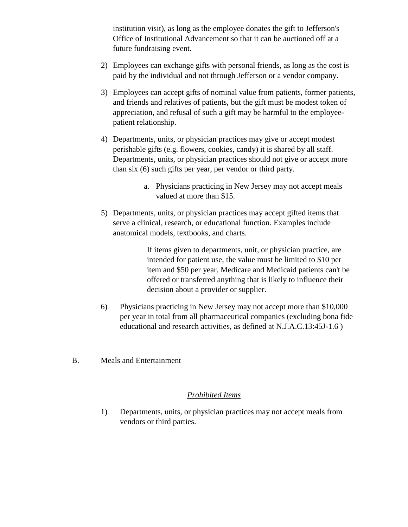institution visit), as long as the employee donates the gift to Jefferson's Office of Institutional Advancement so that it can be auctioned off at a future fundraising event.

- 2) Employees can exchange gifts with personal friends, as long as the cost is paid by the individual and not through Jefferson or a vendor company.
- 3) Employees can accept gifts of nominal value from patients, former patients, and friends and relatives of patients, but the gift must be modest token of appreciation, and refusal of such a gift may be harmful to the employeepatient relationship.
- 4) Departments, units, or physician practices may give or accept modest perishable gifts (e.g. flowers, cookies, candy) it is shared by all staff. Departments, units, or physician practices should not give or accept more than six (6) such gifts per year, per vendor or third party.
	- a. Physicians practicing in New Jersey may not accept meals valued at more than \$15.
- 5) Departments, units, or physician practices may accept gifted items that serve a clinical, research, or educational function. Examples include anatomical models, textbooks, and charts.

If items given to departments, unit, or physician practice, are intended for patient use, the value must be limited to \$10 per item and \$50 per year. Medicare and Medicaid patients can't be offered or transferred anything that is likely to influence their decision about a provider or supplier.

- 6) Physicians practicing in New Jersey may not accept more than \$10,000 per year in total from all pharmaceutical companies (excluding bona fide educational and research activities, as defined at N.J.A.C.13:45J-1.6 )
- B. Meals and Entertainment

### *Prohibited Items*

1) Departments, units, or physician practices may not accept meals from vendors or third parties.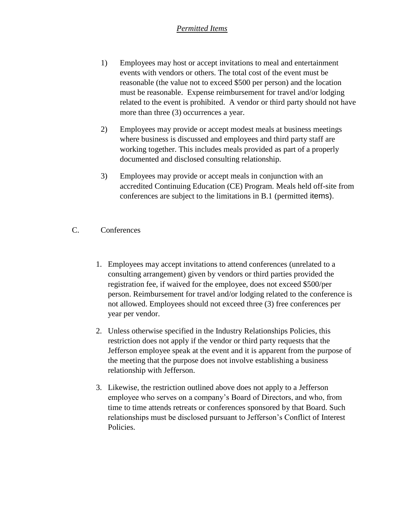# *Permitted Items*

- 1) Employees may host or accept invitations to meal and entertainment events with vendors or others. The total cost of the event must be reasonable (the value not to exceed \$500 per person) and the location must be reasonable. Expense reimbursement for travel and/or lodging related to the event is prohibited. A vendor or third party should not have more than three (3) occurrences a year.
- 2) Employees may provide or accept modest meals at business meetings where business is discussed and employees and third party staff are working together. This includes meals provided as part of a properly documented and disclosed consulting relationship.
- 3) Employees may provide or accept meals in conjunction with an accredited Continuing Education (CE) Program. Meals held off-site from conferences are subject to the limitations in B.1 (permitted items).
- C. Conferences
	- 1. Employees may accept invitations to attend conferences (unrelated to a consulting arrangement) given by vendors or third parties provided the registration fee, if waived for the employee, does not exceed \$500/per person. Reimbursement for travel and/or lodging related to the conference is not allowed. Employees should not exceed three (3) free conferences per year per vendor.
	- 2. Unless otherwise specified in the Industry Relationships Policies, this restriction does not apply if the vendor or third party requests that the Jefferson employee speak at the event and it is apparent from the purpose of the meeting that the purpose does not involve establishing a business relationship with Jefferson.
	- 3. Likewise, the restriction outlined above does not apply to a Jefferson employee who serves on a company's Board of Directors, and who, from time to time attends retreats or conferences sponsored by that Board. Such relationships must be disclosed pursuant to Jefferson's Conflict of Interest Policies.